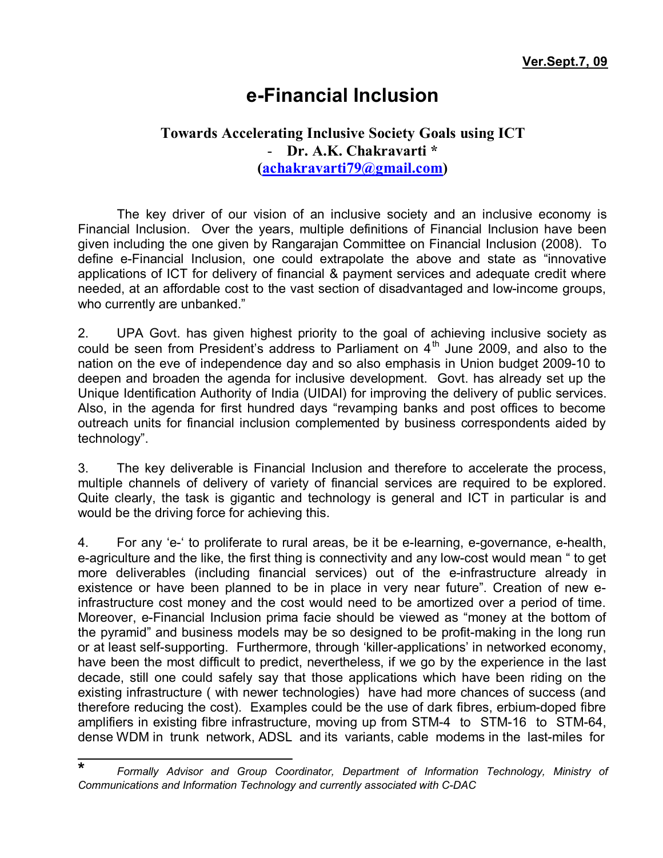## **e-Financial Inclusion**

## **Towards Accelerating Inclusive Society Goals using ICT**  - **Dr. A.K. Chakravarti \* [\(achakravarti79@gmail.com\)](mailto:achakravarti79@gmail.com)**

The key driver of our vision of an inclusive society and an inclusive economy is Financial Inclusion. Over the years, multiple definitions of Financial Inclusion have been given including the one given by Rangarajan Committee on Financial Inclusion (2008). To define e-Financial Inclusion, one could extrapolate the above and state as "innovative applications of ICT for delivery of financial & payment services and adequate credit where needed, at an affordable cost to the vast section of disadvantaged and low-income groups, who currently are unbanked."

2. UPA Govt. has given highest priority to the goal of achieving inclusive society as could be seen from President's address to Parliament on  $4<sup>th</sup>$  June 2009, and also to the nation on the eve of independence day and so also emphasis in Union budget 2009-10 to deepen and broaden the agenda for inclusive development. Govt. has already set up the Unique Identification Authority of India (UIDAI) for improving the delivery of public services. Also, in the agenda for first hundred days "revamping banks and post offices to become outreach units for financial inclusion complemented by business correspondents aided by technology".

3. The key deliverable is Financial Inclusion and therefore to accelerate the process, multiple channels of delivery of variety of financial services are required to be explored. Quite clearly, the task is gigantic and technology is general and ICT in particular is and would be the driving force for achieving this.

4. For any 'e-' to proliferate to rural areas, be it be e-learning, e-governance, e-health, e-agriculture and the like, the first thing is connectivity and any low-cost would mean " to get more deliverables (including financial services) out of the e-infrastructure already in existence or have been planned to be in place in very near future". Creation of new einfrastructure cost money and the cost would need to be amortized over a period of time. Moreover, e-Financial Inclusion prima facie should be viewed as "money at the bottom of the pyramid" and business models may be so designed to be profit-making in the long run or at least self-supporting. Furthermore, through 'killer-applications' in networked economy, have been the most difficult to predict, nevertheless, if we go by the experience in the last decade, still one could safely say that those applications which have been riding on the existing infrastructure ( with newer technologies) have had more chances of success (and therefore reducing the cost). Examples could be the use of dark fibres, erbium-doped fibre amplifiers in existing fibre infrastructure, moving up from STM-4 to STM-16 to STM-64, dense WDM in trunk network, ADSL and its variants, cable modems in the last-miles for

**<sup>\*</sup>** *Formally Advisor and Group Coordinator, Department of Information Technology, Ministry of Communications and Information Technology and currently associated with C-DAC*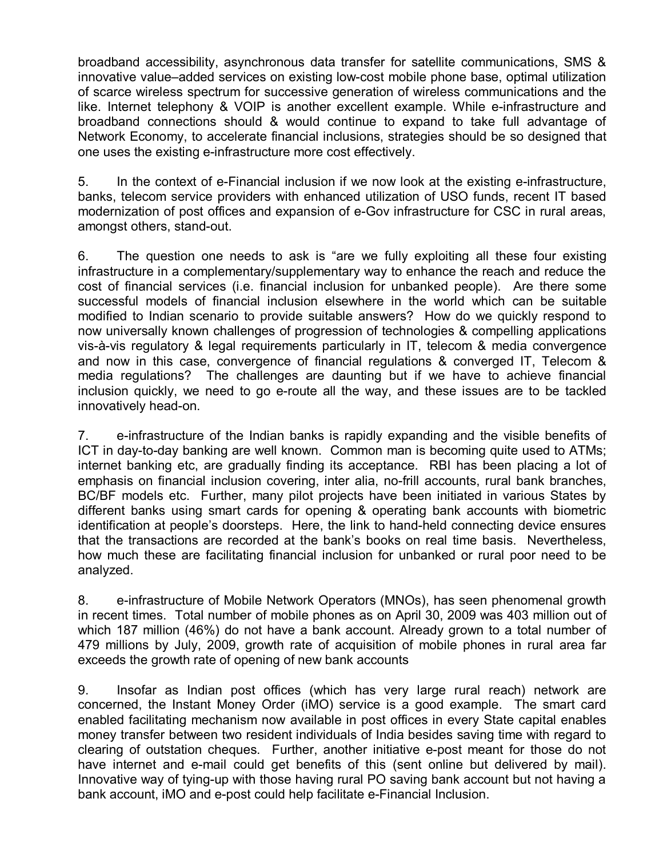broadband accessibility, asynchronous data transfer for satellite communications, SMS & innovative value–added services on existing low-cost mobile phone base, optimal utilization of scarce wireless spectrum for successive generation of wireless communications and the like. Internet telephony & VOIP is another excellent example. While e-infrastructure and broadband connections should & would continue to expand to take full advantage of Network Economy, to accelerate financial inclusions, strategies should be so designed that one uses the existing e-infrastructure more cost effectively.

5. In the context of e-Financial inclusion if we now look at the existing e-infrastructure, banks, telecom service providers with enhanced utilization of USO funds, recent IT based modernization of post offices and expansion of e-Gov infrastructure for CSC in rural areas, amongst others, stand-out.

6. The question one needs to ask is "are we fully exploiting all these four existing infrastructure in a complementary/supplementary way to enhance the reach and reduce the cost of financial services (i.e. financial inclusion for unbanked people). Are there some successful models of financial inclusion elsewhere in the world which can be suitable modified to Indian scenario to provide suitable answers? How do we quickly respond to now universally known challenges of progression of technologies & compelling applications vis-à-vis regulatory & legal requirements particularly in IT, telecom & media convergence and now in this case, convergence of financial regulations & converged IT, Telecom & media regulations? The challenges are daunting but if we have to achieve financial inclusion quickly, we need to go e-route all the way, and these issues are to be tackled innovatively head-on.

7. e-infrastructure of the Indian banks is rapidly expanding and the visible benefits of ICT in day-to-day banking are well known. Common man is becoming quite used to ATMs; internet banking etc, are gradually finding its acceptance. RBI has been placing a lot of emphasis on financial inclusion covering, inter alia, no-frill accounts, rural bank branches, BC/BF models etc. Further, many pilot projects have been initiated in various States by different banks using smart cards for opening & operating bank accounts with biometric identification at people's doorsteps. Here, the link to hand-held connecting device ensures that the transactions are recorded at the bank's books on real time basis. Nevertheless, how much these are facilitating financial inclusion for unbanked or rural poor need to be analyzed.

8. e-infrastructure of Mobile Network Operators (MNOs), has seen phenomenal growth in recent times. Total number of mobile phones as on April 30, 2009 was 403 million out of which 187 million (46%) do not have a bank account. Already grown to a total number of 479 millions by July, 2009, growth rate of acquisition of mobile phones in rural area far exceeds the growth rate of opening of new bank accounts

9. Insofar as Indian post offices (which has very large rural reach) network are concerned, the Instant Money Order (iMO) service is a good example. The smart card enabled facilitating mechanism now available in post offices in every State capital enables money transfer between two resident individuals of India besides saving time with regard to clearing of outstation cheques. Further, another initiative e-post meant for those do not have internet and e-mail could get benefits of this (sent online but delivered by mail). Innovative way of tying-up with those having rural PO saving bank account but not having a bank account, iMO and e-post could help facilitate e-Financial Inclusion.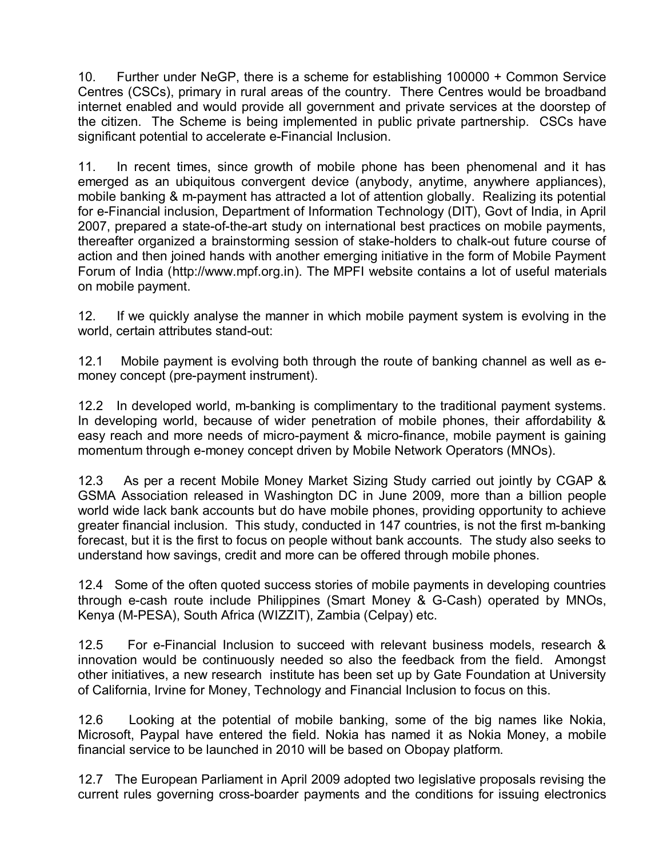10. Further under NeGP, there is a scheme for establishing 100000 + Common Service Centres (CSCs), primary in rural areas of the country. There Centres would be broadband internet enabled and would provide all government and private services at the doorstep of the citizen. The Scheme is being implemented in public private partnership. CSCs have significant potential to accelerate e-Financial Inclusion.

11. In recent times, since growth of mobile phone has been phenomenal and it has emerged as an ubiquitous convergent device (anybody, anytime, anywhere appliances), mobile banking & m-payment has attracted a lot of attention globally. Realizing its potential for e-Financial inclusion, Department of Information Technology (DIT), Govt of India, in April 2007, prepared a state-of-the-art study on international best practices on mobile payments, thereafter organized a brainstorming session of stake-holders to chalk-out future course of action and then joined hands with another emerging initiative in the form of Mobile Payment Forum of India (<http://www.mpf.org.in>). The MPFI website contains a lot of useful materials on mobile payment.

12. If we quickly analyse the manner in which mobile payment system is evolving in the world, certain attributes stand-out:

12.1 Mobile payment is evolving both through the route of banking channel as well as emoney concept (pre-payment instrument).

12.2 In developed world, m-banking is complimentary to the traditional payment systems. In developing world, because of wider penetration of mobile phones, their affordability & easy reach and more needs of micro-payment & micro-finance, mobile payment is gaining momentum through e-money concept driven by Mobile Network Operators (MNOs).

12.3 As per a recent Mobile Money Market Sizing Study carried out jointly by CGAP & GSMA Association released in Washington DC in June 2009, more than a billion people world wide lack bank accounts but do have mobile phones, providing opportunity to achieve greater financial inclusion. This study, conducted in 147 countries, is not the first m-banking forecast, but it is the first to focus on people without bank accounts. The study also seeks to understand how savings, credit and more can be offered through mobile phones.

12.4 Some of the often quoted success stories of mobile payments in developing countries through e-cash route include Philippines (Smart Money & G-Cash) operated by MNOs, Kenya (M-PESA), South Africa (WIZZIT), Zambia (Celpay) etc.

12.5 For e-Financial Inclusion to succeed with relevant business models, research & innovation would be continuously needed so also the feedback from the field. Amongst other initiatives, a new research institute has been set up by Gate Foundation at University of California, Irvine for Money, Technology and Financial Inclusion to focus on this.

12.6 Looking at the potential of mobile banking, some of the big names like Nokia, Microsoft, Paypal have entered the field. Nokia has named it as Nokia Money, a mobile financial service to be launched in 2010 will be based on Obopay platform.

12.7 The European Parliament in April 2009 adopted two legislative proposals revising the current rules governing cross-boarder payments and the conditions for issuing electronics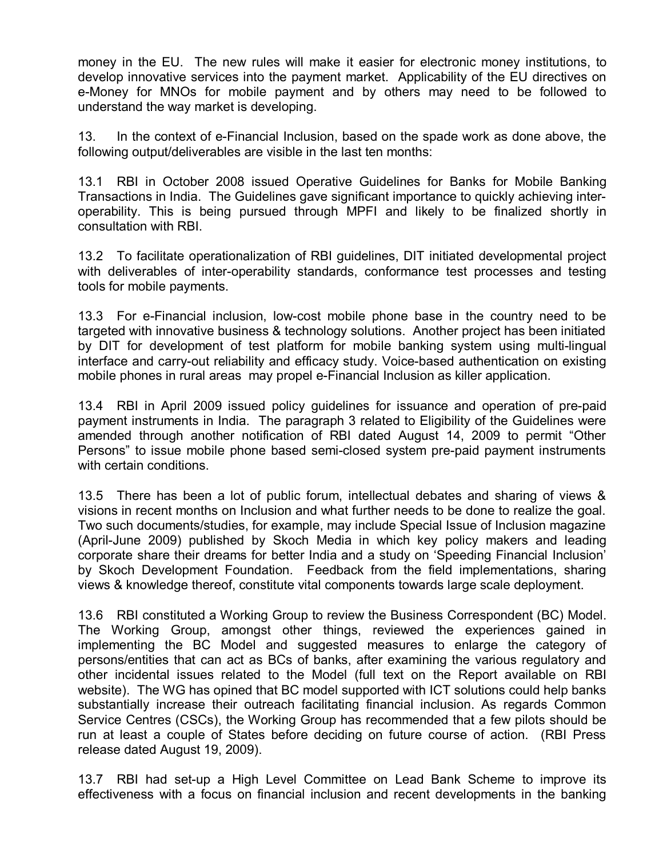money in the EU. The new rules will make it easier for electronic money institutions, to develop innovative services into the payment market. Applicability of the EU directives on e-Money for MNOs for mobile payment and by others may need to be followed to understand the way market is developing.

13. In the context of e-Financial Inclusion, based on the spade work as done above, the following output/deliverables are visible in the last ten months:

13.1 RBI in October 2008 issued Operative Guidelines for Banks for Mobile Banking Transactions in India. The Guidelines gave significant importance to quickly achieving interoperability. This is being pursued through MPFI and likely to be finalized shortly in consultation with RBI.

13.2 To facilitate operationalization of RBI guidelines, DIT initiated developmental project with deliverables of inter-operability standards, conformance test processes and testing tools for mobile payments.

13.3 For e-Financial inclusion, low-cost mobile phone base in the country need to be targeted with innovative business & technology solutions. Another project has been initiated by DIT for development of test platform for mobile banking system using multi-lingual interface and carry-out reliability and efficacy study. Voice-based authentication on existing mobile phones in rural areas may propel e-Financial Inclusion as killer application.

13.4 RBI in April 2009 issued policy guidelines for issuance and operation of pre-paid payment instruments in India. The paragraph 3 related to Eligibility of the Guidelines were amended through another notification of RBI dated August 14, 2009 to permit "Other Persons" to issue mobile phone based semi-closed system pre-paid payment instruments with certain conditions.

13.5 There has been a lot of public forum, intellectual debates and sharing of views & visions in recent months on Inclusion and what further needs to be done to realize the goal. Two such documents/studies, for example, may include Special Issue of Inclusion magazine (April-June 2009) published by Skoch Media in which key policy makers and leading corporate share their dreams for better India and a study on 'Speeding Financial Inclusion' by Skoch Development Foundation. Feedback from the field implementations, sharing views & knowledge thereof, constitute vital components towards large scale deployment.

13.6 RBI constituted a Working Group to review the Business Correspondent (BC) Model. The Working Group, amongst other things, reviewed the experiences gained in implementing the BC Model and suggested measures to enlarge the category of persons/entities that can act as BCs of banks, after examining the various regulatory and other incidental issues related to the Model (full text on the Report available on RBI website). The WG has opined that BC model supported with ICT solutions could help banks substantially increase their outreach facilitating financial inclusion. As regards Common Service Centres (CSCs), the Working Group has recommended that a few pilots should be run at least a couple of States before deciding on future course of action. (RBI Press release dated August 19, 2009).

13.7 RBI had set-up a High Level Committee on Lead Bank Scheme to improve its effectiveness with a focus on financial inclusion and recent developments in the banking